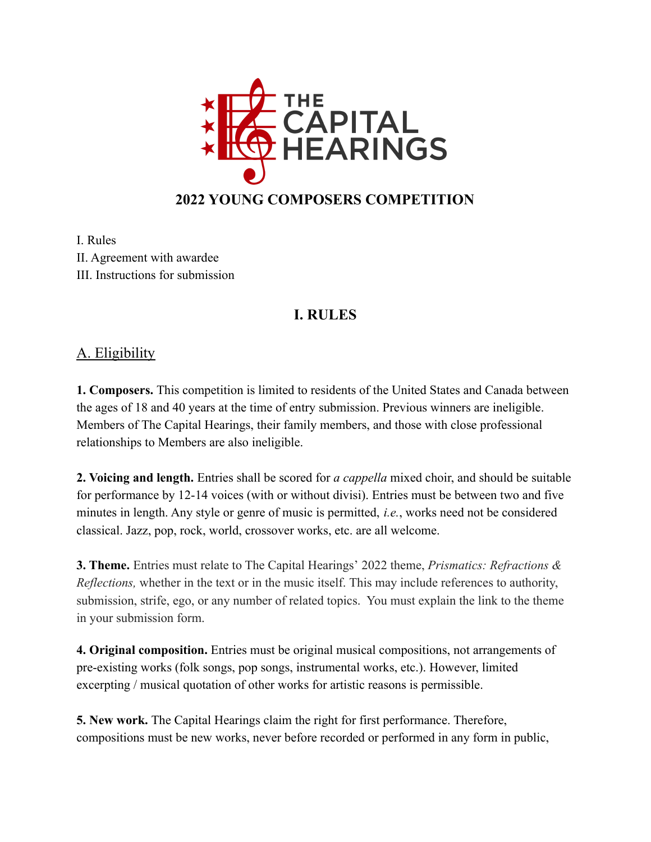

I. Rules II. Agreement with awardee III. Instructions for submission

## **I. RULES**

## A. Eligibility

**1. Composers.** This competition is limited to residents of the United States and Canada between the ages of 18 and 40 years at the time of entry submission. Previous winners are ineligible. Members of The Capital Hearings, their family members, and those with close professional relationships to Members are also ineligible.

**2. Voicing and length.** Entries shall be scored for *a cappella* mixed choir, and should be suitable for performance by 12-14 voices (with or without divisi). Entries must be between two and five minutes in length. Any style or genre of music is permitted, *i.e.*, works need not be considered classical. Jazz, pop, rock, world, crossover works, etc. are all welcome.

**3. Theme.** Entries must relate to The Capital Hearings' 2022 theme, *Prismatics: Refractions & Reflections,* whether in the text or in the music itself. This may include references to authority, submission, strife, ego, or any number of related topics. You must explain the link to the theme in your submission form.

**4. Original composition.** Entries must be original musical compositions, not arrangements of pre-existing works (folk songs, pop songs, instrumental works, etc.). However, limited excerpting / musical quotation of other works for artistic reasons is permissible.

**5. New work.** The Capital Hearings claim the right for first performance. Therefore, compositions must be new works, never before recorded or performed in any form in public,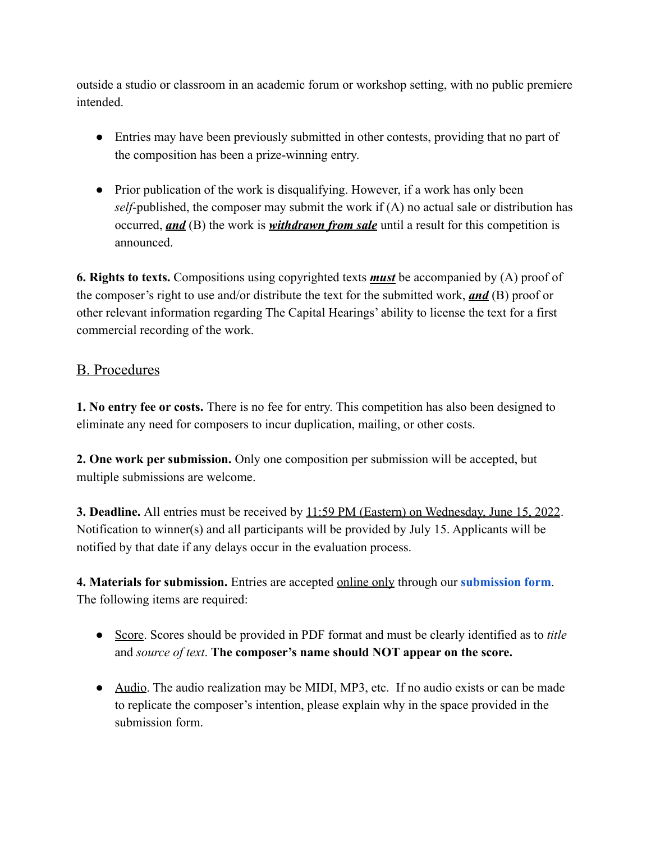outside a studio or classroom in an academic forum or workshop setting, with no public premiere intended.

- Entries may have been previously submitted in other contests, providing that no part of the composition has been a prize-winning entry.
- Prior publication of the work is disqualifying. However, if a work has only been *self*-published, the composer may submit the work if (A) no actual sale or distribution has occurred, *and* (B) the work is *withdrawn from sale* until a result for this competition is announced.

**6. Rights to texts.** Compositions using copyrighted texts *must* be accompanied by (A) proof of the composer's right to use and/or distribute the text for the submitted work, *and* (B) proof or other relevant information regarding The Capital Hearings' ability to license the text for a first commercial recording of the work.

#### B. Procedures

**1. No entry fee or costs.** There is no fee for entry. This competition has also been designed to eliminate any need for composers to incur duplication, mailing, or other costs.

**2. One work per submission.** Only one composition per submission will be accepted, but multiple submissions are welcome.

**3. Deadline.** All entries must be received by 11:59 PM (Eastern) on Wednesday, June 15, 2022. Notification to winner(s) and all participants will be provided by July 15. Applicants will be notified by that date if any delays occur in the evaluation process.

**4. Materials for submission.** Entries are accepted online only through our **[submission form](https://caphearings.seamlessdocs.com/f/composers)**. The following items are required:

- Score. Scores should be provided in PDF format and must be clearly identified as to *title* and *source of text*. **The composer's name should NOT appear on the score.**
- Audio. The audio realization may be MIDI, MP3, etc. If no audio exists or can be made to replicate the composer's intention, please explain why in the space provided in the submission form.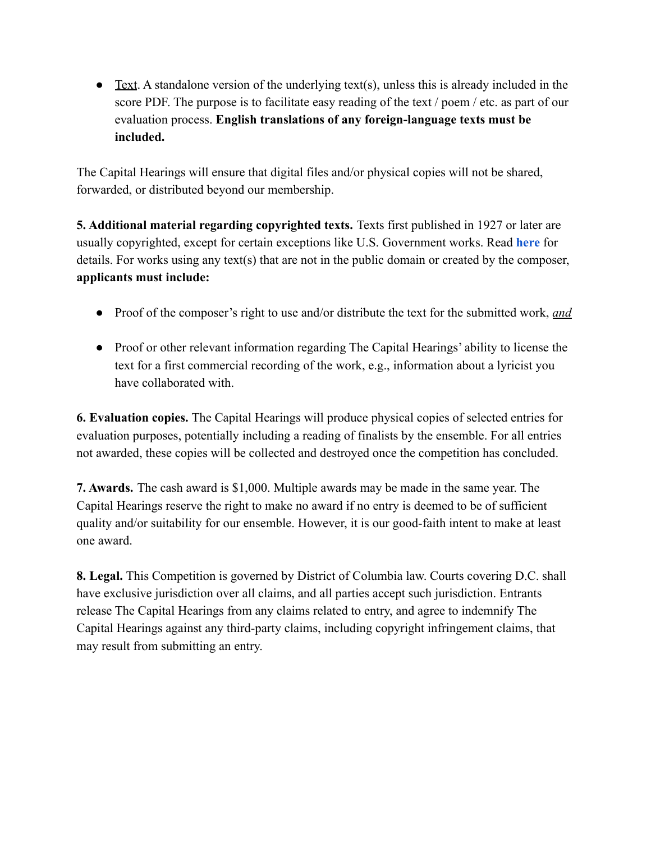$\bullet$  Text. A standalone version of the underlying text(s), unless this is already included in the score PDF. The purpose is to facilitate easy reading of the text / poem / etc. as part of our evaluation process. **English translations of any foreign-language texts must be included.**

The Capital Hearings will ensure that digital files and/or physical copies will not be shared, forwarded, or distributed beyond our membership.

**5. Additional material regarding copyrighted texts.** Texts first published in 1927 or later are usually copyrighted, except for certain exceptions like U.S. Government works. Read **[here](http://www.ascap.com/concert/composeradvice.aspx)** for details. For works using any text(s) that are not in the public domain or created by the composer, **applicants must include:**

- Proof of the composer's right to use and/or distribute the text for the submitted work, *and*
- Proof or other relevant information regarding The Capital Hearings' ability to license the text for a first commercial recording of the work, e.g., information about a lyricist you have collaborated with.

**6. Evaluation copies.** The Capital Hearings will produce physical copies of selected entries for evaluation purposes, potentially including a reading of finalists by the ensemble. For all entries not awarded, these copies will be collected and destroyed once the competition has concluded.

**7. Awards.** The cash award is \$1,000. Multiple awards may be made in the same year. The Capital Hearings reserve the right to make no award if no entry is deemed to be of sufficient quality and/or suitability for our ensemble. However, it is our good-faith intent to make at least one award.

**8. Legal.** This Competition is governed by District of Columbia law. Courts covering D.C. shall have exclusive jurisdiction over all claims, and all parties accept such jurisdiction. Entrants release The Capital Hearings from any claims related to entry, and agree to indemnify The Capital Hearings against any third-party claims, including copyright infringement claims, that may result from submitting an entry.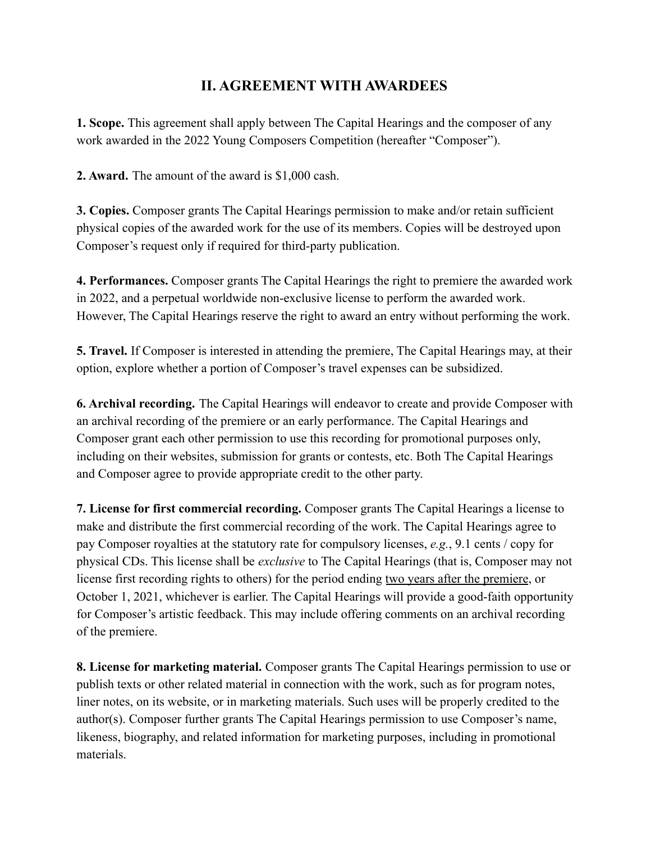### **II. AGREEMENT WITH AWARDEES**

**1. Scope.** This agreement shall apply between The Capital Hearings and the composer of any work awarded in the 2022 Young Composers Competition (hereafter "Composer").

**2. Award.** The amount of the award is \$1,000 cash.

**3. Copies.** Composer grants The Capital Hearings permission to make and/or retain sufficient physical copies of the awarded work for the use of its members. Copies will be destroyed upon Composer's request only if required for third-party publication.

**4. Performances.** Composer grants The Capital Hearings the right to premiere the awarded work in 2022, and a perpetual worldwide non-exclusive license to perform the awarded work. However, The Capital Hearings reserve the right to award an entry without performing the work.

**5. Travel.** If Composer is interested in attending the premiere, The Capital Hearings may, at their option, explore whether a portion of Composer's travel expenses can be subsidized.

**6. Archival recording.** The Capital Hearings will endeavor to create and provide Composer with an archival recording of the premiere or an early performance. The Capital Hearings and Composer grant each other permission to use this recording for promotional purposes only, including on their websites, submission for grants or contests, etc. Both The Capital Hearings and Composer agree to provide appropriate credit to the other party.

**7. License for first commercial recording.** Composer grants The Capital Hearings a license to make and distribute the first commercial recording of the work. The Capital Hearings agree to pay Composer royalties at the statutory rate for compulsory licenses, *e.g.*, 9.1 cents / copy for physical CDs. This license shall be *exclusive* to The Capital Hearings (that is, Composer may not license first recording rights to others) for the period ending two years after the premiere, or October 1, 2021, whichever is earlier. The Capital Hearings will provide a good-faith opportunity for Composer's artistic feedback. This may include offering comments on an archival recording of the premiere.

**8. License for marketing material.** Composer grants The Capital Hearings permission to use or publish texts or other related material in connection with the work, such as for program notes, liner notes, on its website, or in marketing materials. Such uses will be properly credited to the author(s). Composer further grants The Capital Hearings permission to use Composer's name, likeness, biography, and related information for marketing purposes, including in promotional materials.